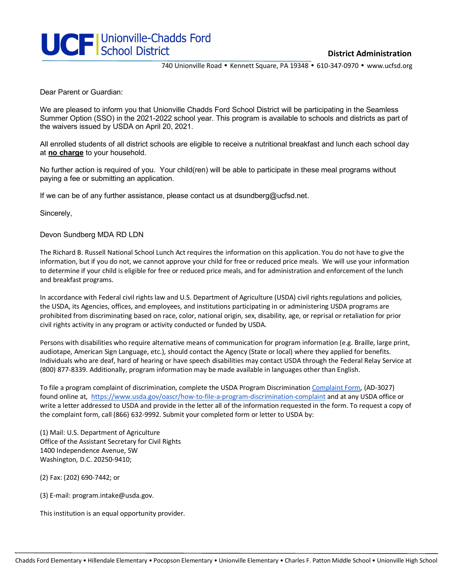

**District Administration**

740 Unionville Road • Kennett Square, PA 19348 • 610-347-0970 • www.ucfsd.org

Dear Parent or Guardian:

We are pleased to inform you that Unionville Chadds Ford School District will be participating in the Seamless Summer Option (SSO) in the 2021-2022 school year. This program is available to schools and districts as part of the waivers issued by USDA on April 20, 2021.

All enrolled students of all district schools are eligible to receive a nutritional breakfast and lunch each school day at **no charge** to your household.

No further action is required of you. Your child(ren) will be able to participate in these meal programs without paying a fee or submitting an application.

If we can be of any further assistance, please contact us at dsundberg@ucfsd.net.

Sincerely,

Devon Sundberg MDA RD LDN

The Richard B. Russell National School Lunch Act requires the information on this application. You do not have to give the information, but if you do not, we cannot approve your child for free or reduced price meals. We will use your information to determine if your child is eligible for free or reduced price meals, and for administration and enforcement of the lunch and breakfast programs.

In accordance with Federal civil rights law and U.S. Department of Agriculture (USDA) civil rights regulations and policies, the USDA, its Agencies, offices, and employees, and institutions participating in or administering USDA programs are prohibited from discriminating based on race, color, national origin, sex, disability, age, or reprisal or retaliation for prior civil rights activity in any program or activity conducted or funded by USDA.

Persons with disabilities who require alternative means of communication for program information (e.g. Braille, large print, audiotape, American Sign Language, etc.), should contact the Agency (State or local) where they applied for benefits. Individuals who are deaf, hard of hearing or have speech disabilities may contact USDA through the Federal Relay Service at (800) 877-8339. Additionally, program information may be made available in languages other than English.

To file a program complaint of discrimination, complete the USDA Program Discrimination Complaint Form, (AD-3027) found online at, https://www.usda.gov/oascr/how-to-file-a-program-discrimination-complaint and at any USDA office or write a letter addressed to USDA and provide in the letter all of the information requested in the form. To request a copy of the complaint form, call (866) 632-9992. Submit your completed form or letter to USDA by:

(1) Mail: U.S. Department of Agriculture Office of the Assistant Secretary for Civil Rights 1400 Independence Avenue, SW Washington, D.C. 20250-9410;

(2) Fax: (202) 690-7442; or

(3) E-mail: program.intake@usda.gov.

This institution is an equal opportunity provider.